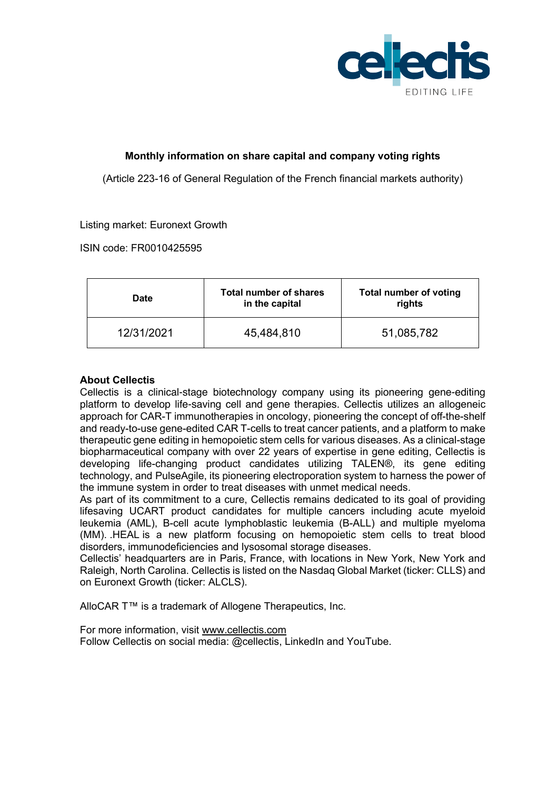

# **Monthly information on share capital and company voting rights**

(Article 223-16 of General Regulation of the French financial markets authority)

# Listing market: Euronext Growth

ISIN code: FR0010425595

| <b>Date</b> | Total number of shares<br>in the capital | <b>Total number of voting</b><br>rights |
|-------------|------------------------------------------|-----------------------------------------|
| 12/31/2021  | 45,484,810                               | 51,085,782                              |

# **About Cellectis**

Cellectis is a clinical-stage biotechnology company using its pioneering gene-editing platform to develop life-saving cell and gene therapies. Cellectis utilizes an allogeneic approach for CAR-T immunotherapies in oncology, pioneering the concept of off-the-shelf and ready-to-use gene-edited CAR T-cells to treat cancer patients, and a platform to make therapeutic gene editing in hemopoietic stem cells for various diseases. As a clinical-stage biopharmaceutical company with over 22 years of expertise in gene editing, Cellectis is developing life-changing product candidates utilizing TALEN®, its gene editing technology, and PulseAgile, its pioneering electroporation system to harness the power of the immune system in order to treat diseases with unmet medical needs.

As part of its commitment to a cure, Cellectis remains dedicated to its goal of providing lifesaving UCART product candidates for multiple cancers including acute myeloid leukemia (AML), B-cell acute lymphoblastic leukemia (B-ALL) and multiple myeloma (MM). .HEAL is a new platform focusing on hemopoietic stem cells to treat blood disorders, immunodeficiencies and lysosomal storage diseases.

Cellectis' headquarters are in Paris, France, with locations in New York, New York and Raleigh, North Carolina. Cellectis is listed on the Nasdaq Global Market (ticker: CLLS) and on Euronext Growth (ticker: ALCLS).

AlloCAR T™ is a trademark of Allogene Therapeutics, Inc.

For more information, visit www.cellectis.com Follow Cellectis on social media: @cellectis, LinkedIn and YouTube.